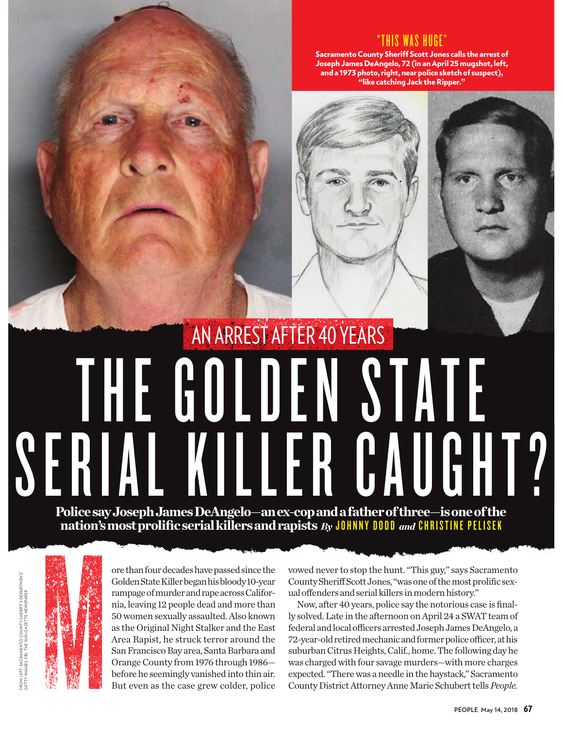## "THIS WAS HUGE"

Sacramento County Sheriff Scott Jones calls the arrest of Joseph James DeAngelo, 72 (in an April 25 mugshot, left, and a 1973 photo, right, near police sketch of suspect), "like catching Jack the Ripper."



## THE GOLDEN STATE SERIAL KILLER CAUGHT? Police say Joseph James DeAngelo—an ex-cop and a father of three—is one of the AN ARREST AFTER 40 YEARS

nation's most prolific serial killers and rapists *By* JOHNNY DODD *and* CHRISTINE PELISEK



FROM LEFT: SACRAMENTO COUNTY SHERIFF'S DEPARTMENT/<br>GETTY IMAGES; FBI ; THE SUN-GAZETTE NEWSPAPER FROM LEFT: SACRAMENTO COUNTY SHERIFF'S DEPARTMENT/ GETTY IMAGES; FBI; THE SUN-GAZETTE NEWSPAPER ore than four decades have passed since the Golden State Killer began his bloody 10-year rampage of murder and rape across California, leaving 12 people dead and more than 50 women sexually assaulted. Also known as the Original Night Stalker and the East Area Rapist, he struck terror around the San Francisco Bay area, Santa Barbara and Orange County from 1976 through 1986 before he seemingly vanished into thin air. But even as the case grew colder, police vowed never to stop the hunt. "This guy," says Sacramento County Sherif Scott Jones, "was one of the most prolific sexual ofenders and serial killers in modern history."

Now, after 40 years, police say the notorious case is finally solved. Late in the afternoon on April 24 a SWAT team of federal and local officers arrested Joseph James DeAngelo, a 72-year-old retired mechanic and former police officer, at his suburban Citrus Heights, Calif., home. The following day he was charged with four savage murders—with more charges expected. "There was a needle in the haystack," Sacramento County District Attorney Anne Marie Schubert tells*People.*